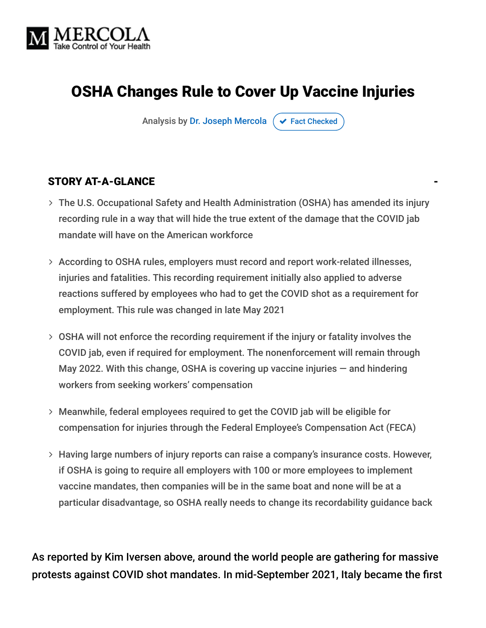

# OSHA Changes Rule to Cover Up Vaccine Injuries

Analysis by [Dr. Joseph Mercola](https://www.mercola.com/forms/background.htm)  $\sigma$  [Fact Checked](javascript:void(0))

#### STORY AT-A-GLANCE

- The U.S. Occupational Safety and Health Administration (OSHA) has amended its injury recording rule in a way that will hide the true extent of the damage that the COVID jab mandate will have on the American workforce
- According to OSHA rules, employers must record and report work-related illnesses, injuries and fatalities. This recording requirement initially also applied to adverse reactions suffered by employees who had to get the COVID shot as a requirement for employment. This rule was changed in late May 2021
- OSHA will not enforce the recording requirement if the injury or fatality involves the COVID jab, even if required for employment. The nonenforcement will remain through May 2022. With this change, OSHA is covering up vaccine injuries  $-$  and hindering workers from seeking workers' compensation
- Meanwhile, federal employees required to get the COVID jab will be eligible for compensation for injuries through the Federal Employee's Compensation Act (FECA)
- Having large numbers of injury reports can raise a company's insurance costs. However, if OSHA is going to require all employers with 100 or more employees to implement vaccine mandates, then companies will be in the same boat and none will be at a particular disadvantage, so OSHA really needs to change its recordability guidance back

As reported by Kim Iversen above, around the world people are gathering for massive protests against COVID shot mandates. In mid-September 2021, Italy became the first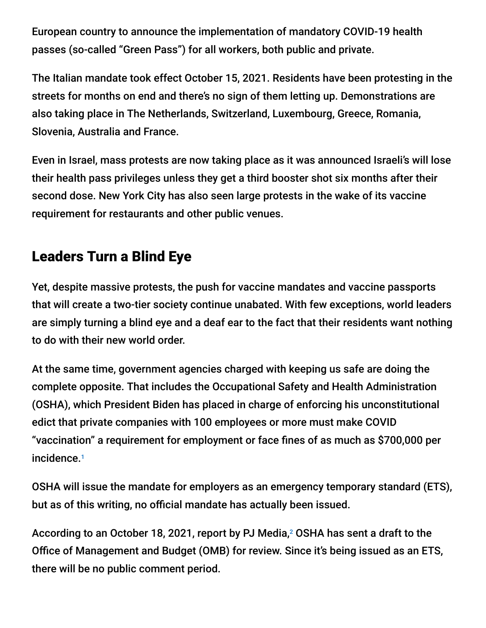European country to announce the implementation of mandatory COVID-19 health passes (so-called "Green Pass") for all workers, both public and private.

The Italian mandate took effect October 15, 2021. Residents have been protesting in the streets for months on end and there's no sign of them letting up. Demonstrations are also taking place in The Netherlands, Switzerland, Luxembourg, Greece, Romania, Slovenia, Australia and France.

Even in Israel, mass protests are now taking place as it was announced Israeli's will lose their health pass privileges unless they get a third booster shot six months after their second dose. New York City has also seen large protests in the wake of its vaccine requirement for restaurants and other public venues.

## Leaders Turn a Blind Eye

Yet, despite massive protests, the push for vaccine mandates and vaccine passports that will create a two-tier society continue unabated. With few exceptions, world leaders are simply turning a blind eye and a deaf ear to the fact that their residents want nothing to do with their new world order.

At the same time, government agencies charged with keeping us safe are doing the complete opposite. That includes the Occupational Safety and Health Administration (OSHA), which President Biden has placed in charge of enforcing his unconstitutional edict that private companies with 100 employees or more must make COVID "vaccination" a requirement for employment or face fines of as much as \$700,000 per incidence. 1

OSHA will issue the mandate for employers as an emergency temporary standard (ETS), but as of this writing, no official mandate has actually been issued.

According to an October 18, 2021, report by PJ Media, $^2$  OSHA has sent a draft to the Office of Management and Budget (OMB) for review. Since it's being issued as an ETS, there will be no public comment period.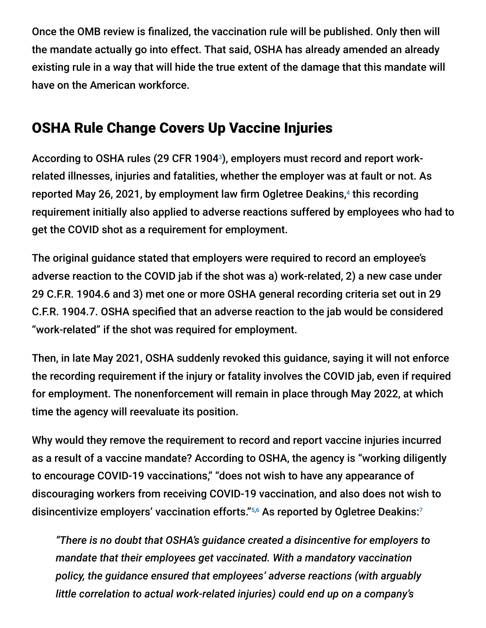Once the OMB review is finalized, the vaccination rule will be published. Only then will the mandate actually go into effect. That said, OSHA has already amended an already existing rule in a way that will hide the true extent of the damage that this mandate will have on the American workforce.

## OSHA Rule Change Covers Up Vaccine Injuries

According to OSHA rules (29 CFR 1904<sup>3</sup>), employers must record and report workrelated illnesses, injuries and fatalities, whether the employer was at fault or not. As reported May 26, 2021, by employment law firm Ogletree Deakins,<sup>4</sup> this recording requirement initially also applied to adverse reactions suffered by employees who had to get the COVID shot as a requirement for employment.

The original guidance stated that employers were required to record an employee's adverse reaction to the COVID jab if the shot was a) work-related, 2) a new case under 29 C.F.R. 1904.6 and 3) met one or more OSHA general recording criteria set out in 29 C.F.R. 1904.7. OSHA specified that an adverse reaction to the jab would be considered "work-related" if the shot was required for employment.

Then, in late May 2021, OSHA suddenly revoked this guidance, saying it will not enforce the recording requirement if the injury or fatality involves the COVID jab, even if required for employment. The nonenforcement will remain in place through May 2022, at which time the agency will reevaluate its position.

Why would they remove the requirement to record and report vaccine injuries incurred as a result of a vaccine mandate? According to OSHA, the agency is "working diligently to encourage COVID-19 vaccinations," "does not wish to have any appearance of discouraging workers from receiving COVID-19 vaccination, and also does not wish to disincentivize employers' vaccination efforts."5,6 As reported by Ogletree Deakins:7

*"There is no doubt that OSHA's guidance created a disincentive for employers to mandate that their employees get vaccinated. With a mandatory vaccination policy, the guidance ensured that employees' adverse reactions (with arguably little correlation to actual work-related injuries) could end up on a company's*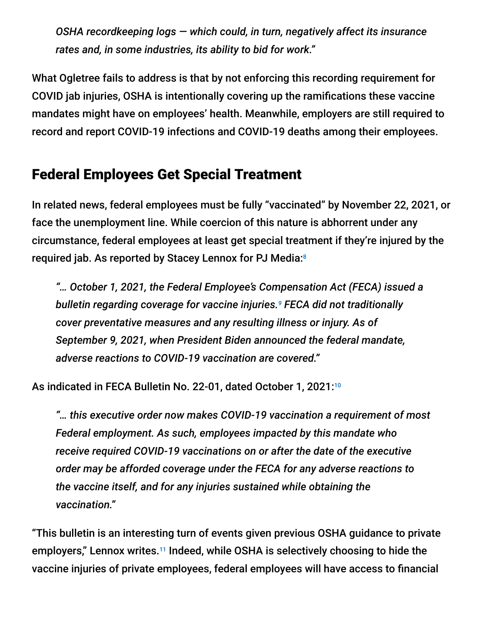*OSHA recordkeeping logs — which could, in turn, negatively affect its insurance rates and, in some industries, its ability to bid for work."*

What Ogletree fails to address is that by not enforcing this recording requirement for COVID jab injuries, OSHA is intentionally covering up the ramifications these vaccine mandates might have on employees' health. Meanwhile, employers are still required to record and report COVID-19 infections and COVID-19 deaths among their employees.

## Federal Employees Get Special Treatment

In related news, federal employees must be fully "vaccinated" by November 22, 2021, or face the unemployment line. While coercion of this nature is abhorrent under any circumstance, federal employees at least get special treatment if they're injured by the required jab. As reported by Stacey Lennox for PJ Media: 8

*"… October 1, 2021, the Federal Employee's Compensation Act (FECA) issued a bulletin regarding coverage for vaccine injuries. FECA did not traditionally 9 cover preventative measures and any resulting illness or injury. As of September 9, 2021, when President Biden announced the federal mandate, adverse reactions to COVID-19 vaccination are covered."*

As indicated in FECA Bulletin No. 22-01, dated October 1, 2021: 10

*"… this executive order now makes COVID-19 vaccination a requirement of most Federal employment. As such, employees impacted by this mandate who receive required COVID-19 vaccinations on or after the date of the executive order may be afforded coverage under the FECA for any adverse reactions to the vaccine itself, and for any injuries sustained while obtaining the vaccination."*

"This bulletin is an interesting turn of events given previous OSHA guidance to private employers," Lennox writes.<sup>11</sup> Indeed, while OSHA is selectively choosing to hide the vaccine injuries of private employees, federal employees will have access to financial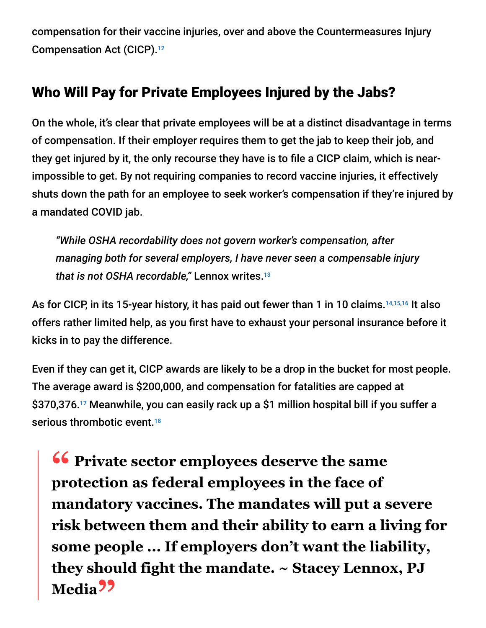compensation for their vaccine injuries, over and above the Countermeasures Injury Compensation Act (CICP). 12

## Who Will Pay for Private Employees Injured by the Jabs?

On the whole, it's clear that private employees will be at a distinct disadvantage in terms of compensation. If their employer requires them to get the jab to keep their job, and they get injured by it, the only recourse they have is to file a CICP claim, which is nearimpossible to get. By not requiring companies to record vaccine injuries, it effectively shuts down the path for an employee to seek worker's compensation if they're injured by a mandated COVID jab.

*"While OSHA recordability does not govern worker's compensation, after managing both for several employers, I have never seen a compensable injury that is not OSHA recordable,"* Lennox writes. 13

As for CICP, in its 15-year history, it has paid out fewer than 1 in 10 claims.<sup>14,15,16</sup> It also offers rather limited help, as you first have to exhaust your personal insurance before it kicks in to pay the difference.

Even if they can get it, CICP awards are likely to be a drop in the bucket for most people. The average award is \$200,000, and compensation for fatalities are capped at \$370,376.17 Meanwhile, you can easily rack up a \$1 million hospital bill if you suffer a serious thrombotic event. 18

**<sup>66</sup>** Private sector employees deserve the same<br>
protection as federal employees in the face of **protection as federal employees in the face of mandatory vaccines. The mandates will put a severe risk between them and their ability to earn a living for some people ... If employers don't want the liability, they should fight the mandate. ~ Stacey Lennox, PJ Media"**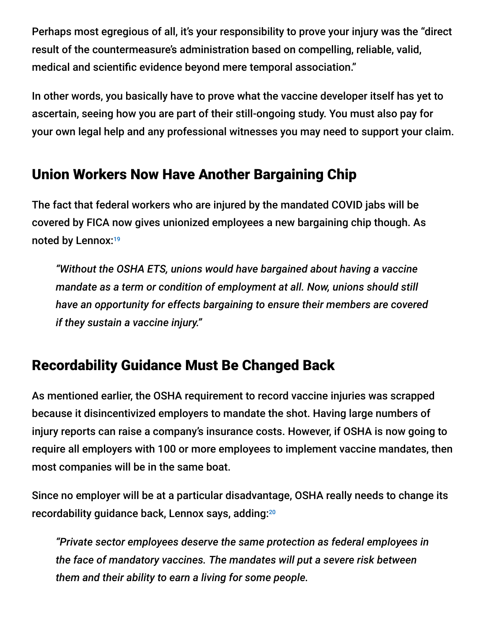Perhaps most egregious of all, it's your responsibility to prove your injury was the "direct result of the countermeasure's administration based on compelling, reliable, valid, medical and scientific evidence beyond mere temporal association."

In other words, you basically have to prove what the vaccine developer itself has yet to ascertain, seeing how you are part of their still-ongoing study. You must also pay for your own legal help and any professional witnesses you may need to support your claim.

## Union Workers Now Have Another Bargaining Chip

The fact that federal workers who are injured by the mandated COVID jabs will be covered by FICA now gives unionized employees a new bargaining chip though. As noted by Lennox:<sup>19</sup>

*"Without the OSHA ETS, unions would have bargained about having a vaccine mandate as a term or condition of employment at all. Now, unions should still have an opportunity for effects bargaining to ensure their members are covered if they sustain a vaccine injury."*

## Recordability Guidance Must Be Changed Back

As mentioned earlier, the OSHA requirement to record vaccine injuries was scrapped because it disincentivized employers to mandate the shot. Having large numbers of injury reports can raise a company's insurance costs. However, if OSHA is now going to require all employers with 100 or more employees to implement vaccine mandates, then most companies will be in the same boat.

Since no employer will be at a particular disadvantage, OSHA really needs to change its recordability guidance back, Lennox says, adding: 20

*"Private sector employees deserve the same protection as federal employees in the face of mandatory vaccines. The mandates will put a severe risk between them and their ability to earn a living for some people.*